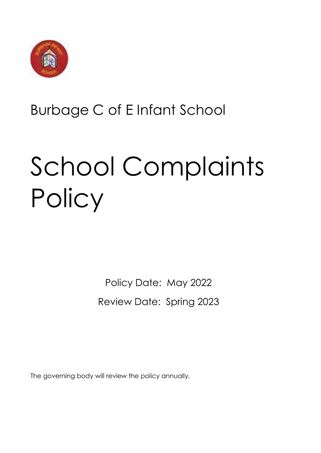

# Burbage C of E Infant School

# School Complaints **Policy**

Policy Date: May 2022 Review Date: Spring 2023

The governing body will review the policy annually.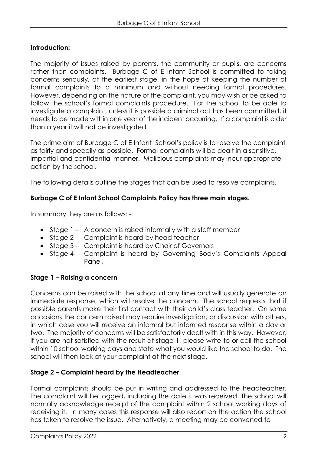#### **Introduction:**

The majority of issues raised by parents, the community or pupils, are concerns rather than complaints. Burbage C of E Infant School is committed to taking concerns seriously, at the earliest stage, in the hope of keeping the number of formal complaints to a minimum and without needing formal procedures. However, depending on the nature of the complaint, you may wish or be asked to follow the school's formal complaints procedure. For the school to be able to investigate a complaint, unless it is possible a criminal act has been committed, it needs to be made within one year of the incident occurring. If a complaint is older than a year it will not be investigated.

The prime aim of Burbage C of E Infant School's policy is to resolve the complaint as fairly and speedily as possible. Formal complaints will be dealt in a sensitive, impartial and confidential manner. Malicious complaints may incur appropriate action by the school.

The following details outline the stages that can be used to resolve complaints.

#### **Burbage C of E Infant School Complaints Policy has three main stages.**

In summary they are as follows: -

- Stage 1 A concern is raised informally with a staff member
- Stage 2 Complaint is heard by head teacher
- Stage 3 Complaint is heard by Chair of Governors
- Stage 4 Complaint is heard by Governing Body's Complaints Appeal Panel.

#### **Stage 1 – Raising a concern**

Concerns can be raised with the school at any time and will usually generate an immediate response, which will resolve the concern. The school requests that if possible parents make their first contact with their child's class teacher. On some occasions the concern raised may require investigation, or discussion with others, in which case you will receive an informal but informed response within a day or two. The majority of concerns will be satisfactorily dealt with in this way. However, if you are not satisfied with the result at stage 1, please write to or call the school within 10 school working days and state what you would like the school to do. The school will then look at your complaint at the next stage.

#### **Stage 2 – Complaint heard by the Headteacher**

Formal complaints should be put in writing and addressed to the headteacher. The complaint will be logged, including the date it was received. The school will normally acknowledge receipt of the complaint within 2 school working days of receiving it. In many cases this response will also report on the action the school has taken to resolve the issue. Alternatively, a meeting may be convened to